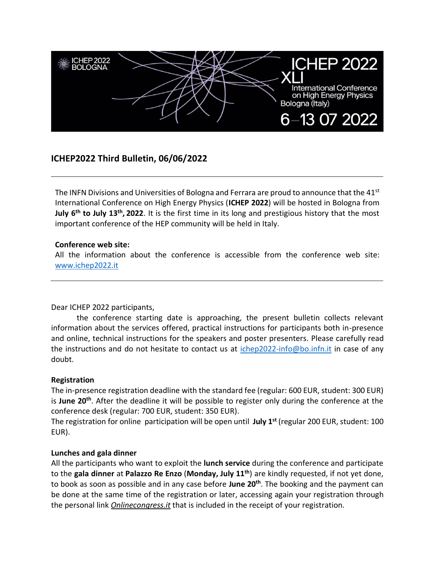

# **ICHEP2022 Third Bulletin, 06/06/2022**

The INFN Divisions and Universities of Bologna and Ferrara are proud to announce that the  $41^{st}$ International Conference on High Energy Physics (**ICHEP 2022**) will be hosted in Bologna from **July 6th to July 13th , 2022**. It is the first time in its long and prestigious history that the most important conference of the HEP community will be held in Italy.

#### **Conference web site:**

All the information about the conference is accessible from the conference web site: [www.ichep2022.it](http://www.ichep2022.it/)

Dear ICHEP 2022 participants,

the conference starting date is approaching, the present bulletin collects relevant information about the services offered, practical instructions for participants both in-presence and online, technical instructions for the speakers and poster presenters. Please carefully read the instructions and do not hesitate to contact us at [ichep2022-info@bo.infn.it](mailto:ichep2022-info@bo.infn.it) in case of any doubt.

# **Registration**

The in-presence registration deadline with the standard fee (regular: 600 EUR, student: 300 EUR) is **June 20th**. After the deadline it will be possible to register only during the conference at the conference desk (regular: 700 EUR, student: 350 EUR).

The registration for online participation will be open until **July 1 st** (regular 200 EUR, student: 100 EUR).

#### **Lunches and gala dinner**

All the participants who want to exploit the **lunch service** during the conference and participate to the **gala dinner** at **Palazzo Re Enzo** (**Monday, July 11th**) are kindly requested, if not yet done, to book as soon as possible and in any case before **June 20th**. The booking and the payment can be done at the same time of the registration or later, accessing again your registration through the personal link *Onlinecongress.it* that is included in the receipt of your registration.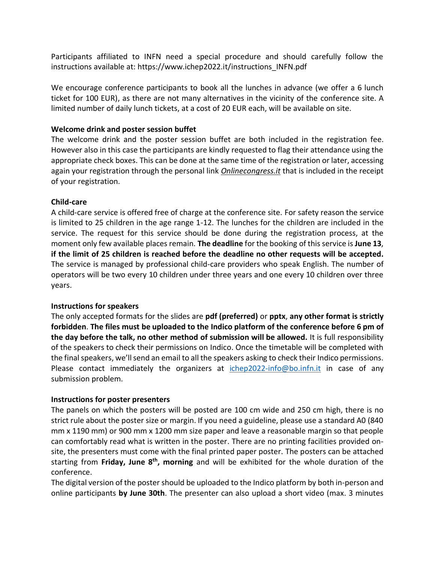Participants affiliated to INFN need a special procedure and should carefully follow the instructions available at: https://www.ichep2022.it/instructions\_INFN.pdf

We encourage conference participants to book all the lunches in advance (we offer a 6 lunch ticket for 100 EUR), as there are not many alternatives in the vicinity of the conference site. A limited number of daily lunch tickets, at a cost of 20 EUR each, will be available on site.

### **Welcome drink and poster session buffet**

The welcome drink and the poster session buffet are both included in the registration fee. However also in this case the participants are kindly requested to flag their attendance using the appropriate check boxes. This can be done at the same time of the registration or later, accessing again your registration through the personal link *Onlinecongress.it* that is included in the receipt of your registration.

#### **Child-care**

A child-care service is offered free of charge at the conference site. For safety reason the service is limited to 25 children in the age range 1-12. The lunches for the children are included in the service. The request for this service should be done during the registration process, at the moment only few available places remain. **The deadline** for the booking of this service is **June 13**, **if the limit of 25 children is reached before the deadline no other requests will be accepted.** The service is managed by professional child-care providers who speak English. The number of operators will be two every 10 children under three years and one every 10 children over three years.

# **Instructions for speakers**

The only accepted formats for the slides are **pdf (preferred)** or **pptx**, **any other format is strictly forbidden**. **The files must be uploaded to the Indico platform of the conference before 6 pm of the day before the talk, no other method of submission will be allowed.** It is full responsibility of the speakers to check their permissions on Indico. Once the timetable will be completed with the final speakers, we'll send an email to all the speakers asking to check their Indico permissions. Please contact immediately the organizers at [ichep2022-info@bo.infn.it](mailto:ichep2022-info@bo.infn.it) in case of any submission problem.

# **Instructions for poster presenters**

The panels on which the posters will be posted are 100 cm wide and 250 cm high, there is no strict rule about the poster size or margin. If you need a guideline, please use a standard A0 (840 mm x 1190 mm) or 900 mm x 1200 mm size paper and leave a reasonable margin so that people can comfortably read what is written in the poster. There are no printing facilities provided onsite, the presenters must come with the final printed paper poster. The posters can be attached starting from **Friday, June 8th , morning** and will be exhibited for the whole duration of the conference.

The digital version of the poster should be uploaded to the Indico platform by both in-person and online participants **by June 30th**. The presenter can also upload a short video (max. 3 minutes